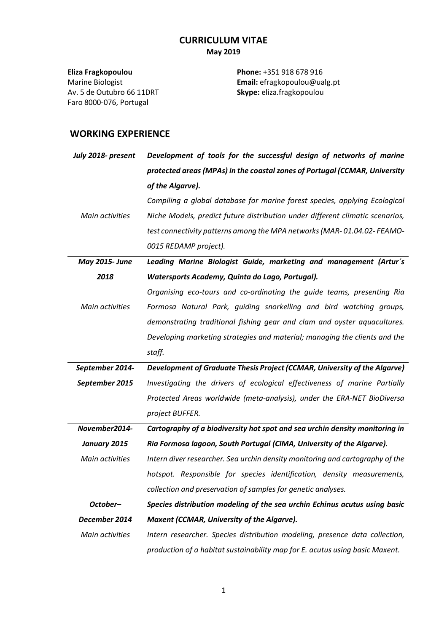# **CURRICULUM VITAE May 2019**

**Eliza Fragkopoulou** Marine Biologist Av. 5 de Outubro 66 11DRT Faro 8000-076, Portugal

**Phone:** +351 918 678 916 **Email:** efragkopoulou@ualg.pt **Skype:** eliza.fragkopoulou

### **WORKING EXPERIENCE**

| July 2018- present | Development of tools for the successful design of networks of marine          |
|--------------------|-------------------------------------------------------------------------------|
|                    | protected areas (MPAs) in the coastal zones of Portugal (CCMAR, University    |
|                    | of the Algarve).                                                              |
|                    | Compiling a global database for marine forest species, applying Ecological    |
| Main activities    | Niche Models, predict future distribution under different climatic scenarios, |
|                    | test connectivity patterns among the MPA networks (MAR-01.04.02-FEAMO-        |
|                    | 0015 REDAMP project).                                                         |
| May 2015- June     | Leading Marine Biologist Guide, marketing and management (Artur's             |
| 2018               | Watersports Academy, Quinta do Lago, Portugal).                               |
|                    | Organising eco-tours and co-ordinating the guide teams, presenting Ria        |
| Main activities    | Formosa Natural Park, guiding snorkelling and bird watching groups,           |
|                    | demonstrating traditional fishing gear and clam and oyster aquacultures.      |
|                    | Developing marketing strategies and material; managing the clients and the    |
|                    | staff.                                                                        |
| September 2014-    | Development of Graduate Thesis Project (CCMAR, University of the Algarve)     |
| September 2015     | Investigating the drivers of ecological effectiveness of marine Partially     |
|                    | Protected Areas worldwide (meta-analysis), under the ERA-NET BioDiversa       |
|                    | project BUFFER.                                                               |
| November2014-      | Cartography of a biodiversity hot spot and sea urchin density monitoring in   |
| January 2015       | Ria Formosa lagoon, South Portugal (CIMA, University of the Algarve).         |
| Main activities    | Intern diver researcher. Sea urchin density monitoring and cartography of the |
|                    | hotspot. Responsible for species identification, density measurements,        |
|                    | collection and preservation of samples for genetic analyses.                  |
| October-           | Species distribution modeling of the sea urchin Echinus acutus using basic    |
| December 2014      | Maxent (CCMAR, University of the Algarve).                                    |
| Main activities    | Intern researcher. Species distribution modeling, presence data collection,   |
|                    | production of a habitat sustainability map for E. acutus using basic Maxent.  |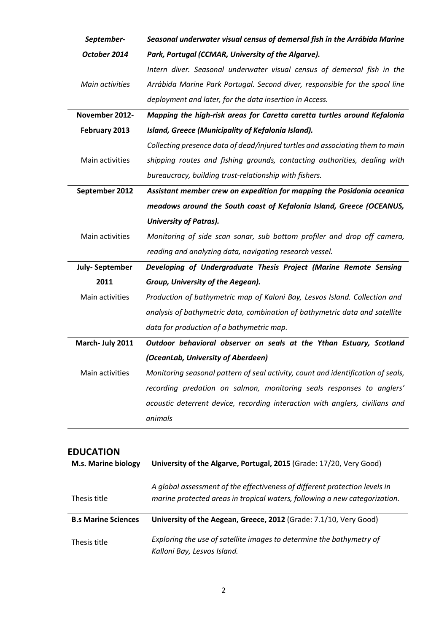| September-            | Seasonal underwater visual census of demersal fish in the Arrábida Marine        |
|-----------------------|----------------------------------------------------------------------------------|
| October 2014          | Park, Portugal (CCMAR, University of the Algarve).                               |
|                       | Intern diver. Seasonal underwater visual census of demersal fish in the          |
| Main activities       | Arrábida Marine Park Portugal. Second diver, responsible for the spool line      |
|                       | deployment and later, for the data insertion in Access.                          |
| November 2012-        | Mapping the high-risk areas for Caretta caretta turtles around Kefalonia         |
| February 2013         | Island, Greece (Municipality of Kefalonia Island).                               |
|                       | Collecting presence data of dead/injured turtles and associating them to main    |
| Main activities       | shipping routes and fishing grounds, contacting authorities, dealing with        |
|                       | bureaucracy, building trust-relationship with fishers.                           |
| September 2012        | Assistant member crew on expedition for mapping the Posidonia oceanica           |
|                       | meadows around the South coast of Kefalonia Island, Greece (OCEANUS,             |
|                       | <b>University of Patras).</b>                                                    |
| Main activities       | Monitoring of side scan sonar, sub bottom profiler and drop off camera,          |
|                       | reading and analyzing data, navigating research vessel.                          |
| <b>July-September</b> | Developing of Undergraduate Thesis Project (Marine Remote Sensing                |
| 2011                  | Group, University of the Aegean).                                                |
| Main activities       | Production of bathymetric map of Kaloni Bay, Lesvos Island. Collection and       |
|                       | analysis of bathymetric data, combination of bathymetric data and satellite      |
|                       | data for production of a bathymetric map.                                        |
| March- July 2011      | Outdoor behavioral observer on seals at the Ythan Estuary, Scotland              |
|                       | (OceanLab, University of Aberdeen)                                               |
| Main activities       | Monitoring seasonal pattern of seal activity, count and identification of seals, |
|                       | recording predation on salmon, monitoring seals responses to anglers'            |
|                       | acoustic deterrent device, recording interaction with anglers, civilians and     |
|                       | animals                                                                          |
|                       |                                                                                  |

# **EDUCATION**

| <b>M.s. Marine biology</b> | University of the Algarve, Portugal, 2015 (Grade: 17/20, Very Good)                                                                                      |
|----------------------------|----------------------------------------------------------------------------------------------------------------------------------------------------------|
| Thesis title               | A global assessment of the effectiveness of different protection levels in<br>marine protected areas in tropical waters, following a new categorization. |
| <b>B.s Marine Sciences</b> | University of the Aegean, Greece, 2012 (Grade: 7.1/10, Very Good)                                                                                        |
| Thesis title               | Exploring the use of satellite images to determine the bathymetry of<br>Kalloni Bay, Lesvos Island.                                                      |